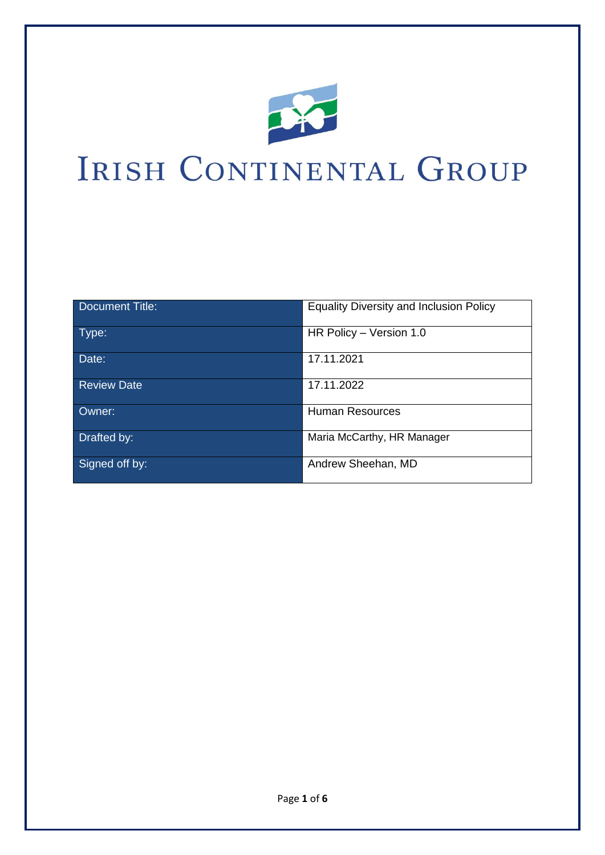

# IRISH CONTINENTAL GROUP

| Document Title:    | <b>Equality Diversity and Inclusion Policy</b> |
|--------------------|------------------------------------------------|
| Type:              | HR Policy - Version 1.0                        |
| Date:              | 17.11.2021                                     |
| <b>Review Date</b> | 17.11.2022                                     |
| Owner:             | <b>Human Resources</b>                         |
| Drafted by:        | Maria McCarthy, HR Manager                     |
| Signed off by:     | Andrew Sheehan, MD                             |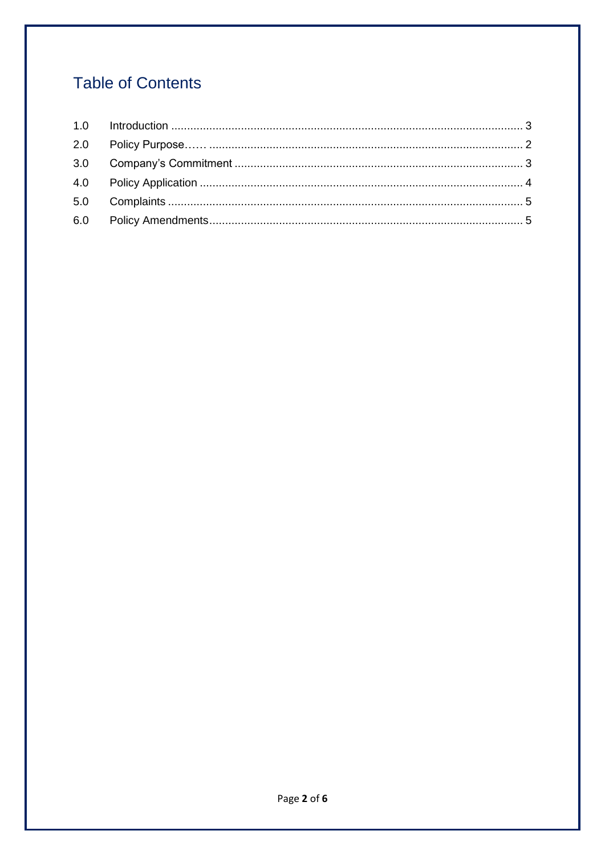# **Table of Contents**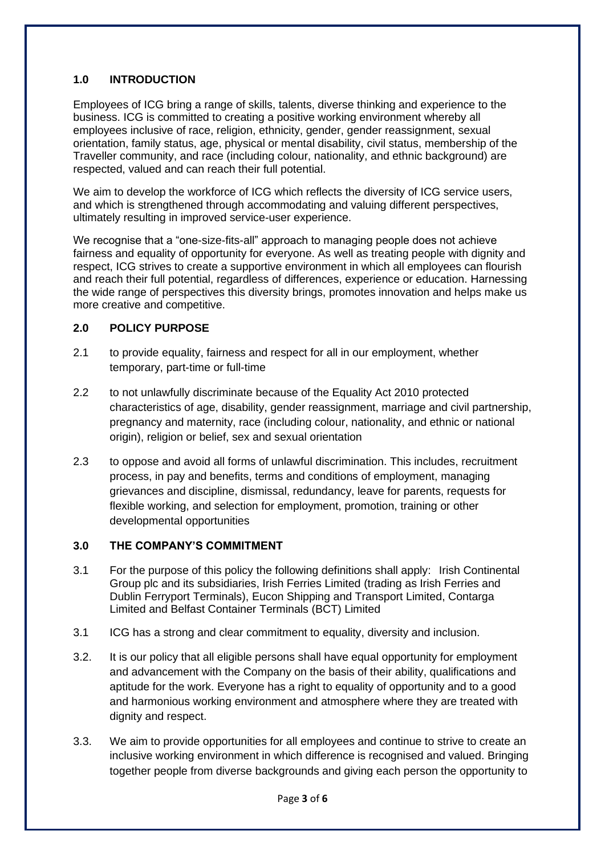#### **1.0 INTRODUCTION**

Employees of ICG bring a range of skills, talents, diverse thinking and experience to the business. ICG is committed to creating a positive working environment whereby all employees inclusive of race, religion, ethnicity, gender, gender reassignment, sexual orientation, family status, age, physical or mental disability, civil status, membership of the Traveller community, and race (including colour, nationality, and ethnic background) are respected, valued and can reach their full potential.

We aim to develop the workforce of ICG which reflects the diversity of ICG service users, and which is strengthened through accommodating and valuing different perspectives, ultimately resulting in improved service-user experience.

We recognise that a "one-size-fits-all" approach to managing people does not achieve fairness and equality of opportunity for everyone. As well as treating people with dignity and respect, ICG strives to create a supportive environment in which all employees can flourish and reach their full potential, regardless of differences, experience or education. Harnessing the wide range of perspectives this diversity brings, promotes innovation and helps make us more creative and competitive.

#### **2.0 POLICY PURPOSE**

- 2.1 to provide equality, fairness and respect for all in our employment, whether temporary, part-time or full-time
- 2.2 to not unlawfully discriminate because of the Equality Act 2010 protected characteristics of age, disability, gender reassignment, marriage and civil partnership, pregnancy and maternity, race (including colour, nationality, and ethnic or national origin), religion or belief, sex and sexual orientation
- 2.3 to oppose and avoid all forms of unlawful discrimination. This includes, recruitment process, in pay and benefits, terms and conditions of employment, managing grievances and discipline, dismissal, redundancy, leave for parents, requests for flexible working, and selection for employment, promotion, training or other developmental opportunities

#### **3.0 THE COMPANY'S COMMITMENT**

- 3.1 For the purpose of this policy the following definitions shall apply: Irish Continental Group plc and its subsidiaries, Irish Ferries Limited (trading as Irish Ferries and Dublin Ferryport Terminals), Eucon Shipping and Transport Limited, Contarga Limited and Belfast Container Terminals (BCT) Limited
- 3.1 ICG has a strong and clear commitment to equality, diversity and inclusion.
- 3.2. It is our policy that all eligible persons shall have equal opportunity for employment and advancement with the Company on the basis of their ability, qualifications and aptitude for the work. Everyone has a right to equality of opportunity and to a good and harmonious working environment and atmosphere where they are treated with dignity and respect.
- 3.3. We aim to provide opportunities for all employees and continue to strive to create an inclusive working environment in which difference is recognised and valued. Bringing together people from diverse backgrounds and giving each person the opportunity to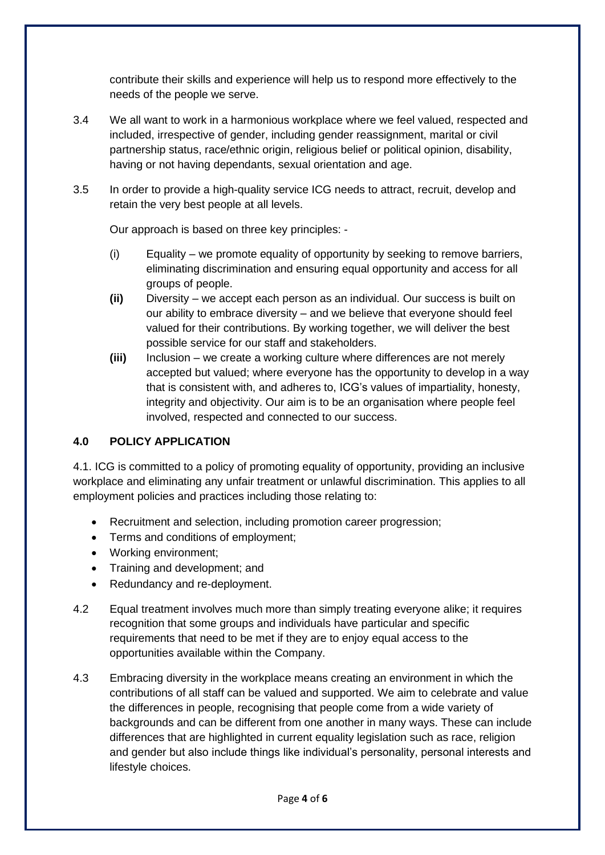contribute their skills and experience will help us to respond more effectively to the needs of the people we serve.

- 3.4 We all want to work in a harmonious workplace where we feel valued, respected and included, irrespective of gender, including gender reassignment, marital or civil partnership status, race/ethnic origin, religious belief or political opinion, disability, having or not having dependants, sexual orientation and age.
- 3.5 In order to provide a high-quality service ICG needs to attract, recruit, develop and retain the very best people at all levels.

Our approach is based on three key principles: -

- (i) Equality we promote equality of opportunity by seeking to remove barriers, eliminating discrimination and ensuring equal opportunity and access for all groups of people.
- **(ii)** Diversity we accept each person as an individual. Our success is built on our ability to embrace diversity – and we believe that everyone should feel valued for their contributions. By working together, we will deliver the best possible service for our staff and stakeholders.
- **(iii)** Inclusion we create a working culture where differences are not merely accepted but valued; where everyone has the opportunity to develop in a way that is consistent with, and adheres to, ICG's values of impartiality, honesty, integrity and objectivity. Our aim is to be an organisation where people feel involved, respected and connected to our success.

## **4.0 POLICY APPLICATION**

4.1. ICG is committed to a policy of promoting equality of opportunity, providing an inclusive workplace and eliminating any unfair treatment or unlawful discrimination. This applies to all employment policies and practices including those relating to:

- Recruitment and selection, including promotion career progression;
- Terms and conditions of employment;
- Working environment;
- Training and development; and
- Redundancy and re-deployment.
- 4.2 Equal treatment involves much more than simply treating everyone alike; it requires recognition that some groups and individuals have particular and specific requirements that need to be met if they are to enjoy equal access to the opportunities available within the Company.
- 4.3 Embracing diversity in the workplace means creating an environment in which the contributions of all staff can be valued and supported. We aim to celebrate and value the differences in people, recognising that people come from a wide variety of backgrounds and can be different from one another in many ways. These can include differences that are highlighted in current equality legislation such as race, religion and gender but also include things like individual's personality, personal interests and lifestyle choices.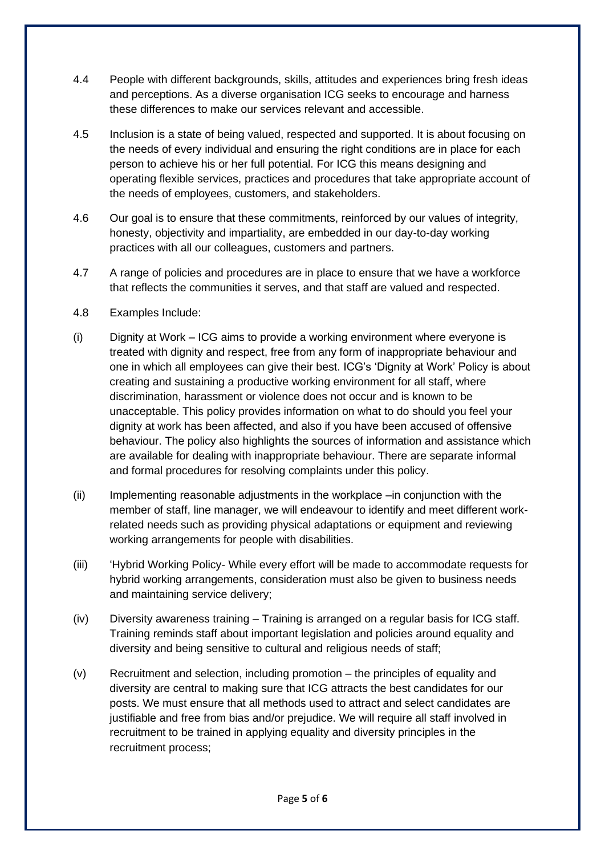- 4.4 People with different backgrounds, skills, attitudes and experiences bring fresh ideas and perceptions. As a diverse organisation ICG seeks to encourage and harness these differences to make our services relevant and accessible.
- 4.5 Inclusion is a state of being valued, respected and supported. It is about focusing on the needs of every individual and ensuring the right conditions are in place for each person to achieve his or her full potential. For ICG this means designing and operating flexible services, practices and procedures that take appropriate account of the needs of employees, customers, and stakeholders.
- 4.6 Our goal is to ensure that these commitments, reinforced by our values of integrity, honesty, objectivity and impartiality, are embedded in our day-to-day working practices with all our colleagues, customers and partners.
- 4.7 A range of policies and procedures are in place to ensure that we have a workforce that reflects the communities it serves, and that staff are valued and respected.
- 4.8 Examples Include:
- (i) Dignity at Work ICG aims to provide a working environment where everyone is treated with dignity and respect, free from any form of inappropriate behaviour and one in which all employees can give their best. ICG's 'Dignity at Work' Policy is about creating and sustaining a productive working environment for all staff, where discrimination, harassment or violence does not occur and is known to be unacceptable. This policy provides information on what to do should you feel your dignity at work has been affected, and also if you have been accused of offensive behaviour. The policy also highlights the sources of information and assistance which are available for dealing with inappropriate behaviour. There are separate informal and formal procedures for resolving complaints under this policy.
- (ii) Implementing reasonable adjustments in the workplace –in conjunction with the member of staff, line manager, we will endeavour to identify and meet different workrelated needs such as providing physical adaptations or equipment and reviewing working arrangements for people with disabilities.
- (iii) 'Hybrid Working Policy- While every effort will be made to accommodate requests for hybrid working arrangements, consideration must also be given to business needs and maintaining service delivery;
- (iv) Diversity awareness training Training is arranged on a regular basis for ICG staff. Training reminds staff about important legislation and policies around equality and diversity and being sensitive to cultural and religious needs of staff;
- (v) Recruitment and selection, including promotion the principles of equality and diversity are central to making sure that ICG attracts the best candidates for our posts. We must ensure that all methods used to attract and select candidates are justifiable and free from bias and/or prejudice. We will require all staff involved in recruitment to be trained in applying equality and diversity principles in the recruitment process;